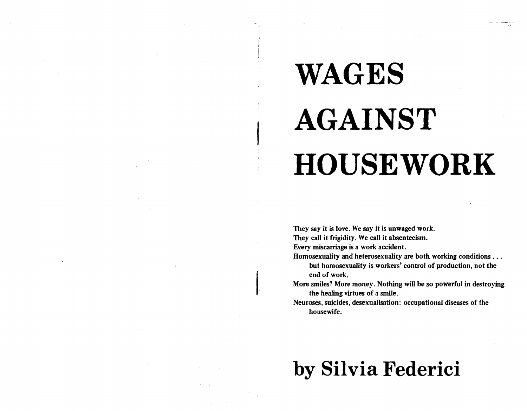# **WAGES AGAINST HOUSEWORK**

They say it is love. We say it is unwaged work. They call it frigidity. We call it absenteeism.

Every miscarriage is a work accident.

I

I

Homosexuality and heterosexuality are both working conditions ... but homosexuality is workers' control of production, not the end of work.

More smiles? More money. Nothing will be so powerful in destroying the healing virtues of a smile.

Neuroses, suicides, desexualisation: occupational diseases of the housewife.

**by Silvia Federici**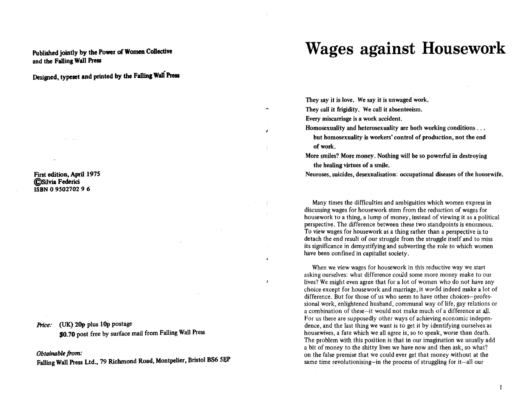Published jointly by the Power of Women Collective and the Falling Wall Press

Designed, typeset and printed by the Falling Wall Press

First edition, April 1975 ©Silvia Federici ISBN 0 9S02702 9 6

Price: (UK) 20p plus 10p postage

\$0.70 post free by surface mail from Falling Wall Press

*Obtainable from:* 

Falling Wall Press Ltd., 79 Richmond Road, Montpelier, Bristol BS6 5EP

## Wages **against Housework**

They say it is love. We say it is unwaged work.

They call it frigidity. We call it absenteeism.

Every miscarriage is a work accident.

 $\mathbf{r}$ 

Homosexuality and heterosexuality are both working conditions ...

but homosexuality is workers' control of production, not the end of work.

More smiles? More money. Nothing will be so powerful in destroying the healing virtues of a smile.

Neuroses, suicides, desexualisation: occupational diseases of the housewife.

Many times the difficulties and ambiguities which women express in discussing wages for housework stem from the reduction of wages for housework to a thing, a lump of money, instead of viewing it as a political perspective. The difference between these two standpoints is enormous. To view wages for housework as a thing rather than a perspective is to detach the end result of our struggle from the struggle itself and to miss its significance in demystifying and subverting the role to which women have been confined in capitalist society.

When we view wages for housework in this reductive way we start asking ourselves: what difference could some more money make to our lives? We might even agree that for a lot of women who do not have any choice except for housework and marriage, it would indeed make a lot of difference. But for those of us who seem to have other choices-professional work, enlightened husband, communal way of life, gay relations or a combination of these-it would not make much of a difference at all. For us there are supposedly other ways of achieving economic independence, and the last thing we want is to get it by identifying ourselves as housewives, a fate which we all agree is, so to speak, worse than death. The problem with this position is that in our imagination we usually add a bit of money to the shitty lives we have now and then ask, so what? on the false premise that we could ever get that money without at the same time revolutionising-in the process of struggling for it-all our

 $\mathbf{1}$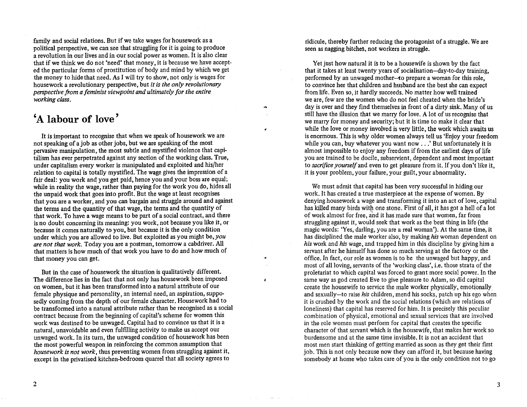family and social relations. But if we take wages for housework as a political perspective, we can see that struggling for it is going to produce a revolution in our lives and in our social power as women. It is also clear that if we think we do not 'need' that money, it is because we have accept· ed the particular forms of prostitution of body and mind by which we get the money to hide that need. As I will try to show, not only is wages for housework a revolutionary perspective, but *it is the only revolutionary perspective from a feminist viewpoint and ultimately for the entire working class.* 

### **'A labour of love'**

It is impertant to recognise that when we speak of housework we are not speaking of a job as other jobs, but we are speaking of the most pervasive manipulation, the most subtle and mystified violence that capitalism has ever perpetrated against any section of the working class. True, under capitalism every worker is manipulated and exploited and his/her relation to capital is totally mystified. The wage gives the impression of a fair deal: you work and you get paid, hence you and your boss are equal; while in reality the wage, rather than paying for the work you do, hides all the unpaid work that goes into profit. But the wage at least recognises that you are a worker, and you can bargain and struggle around and against the terms and the quantity of that wage, the terms and the quantity of that work. To have a wage means to be part of a social contract, and there is no doubt concerning its meaning: you work, not because you like it, or because it comes naturally to you, but because it is the only condition under which you are allowed to live. But exploited as you might be, you *are not that work.* Today you are a postman, tomorrow a cabdriver. All that matters is how much of that work you have to do and how much of that money you can get.

But in the case of housework the situation is qualitatively different. The difference lies in the fact that not only has housework been imposed on women, but it has been transformed into a natural attribute of our female physique and personality, an internal need, an aspiration, supposedly coming from the depth of our female character. Housework had to be transformed into a natural attribute rather than be recognised as a social contract because from the beginning of capital's scheme for women this work was destined to be unwaged. Capital had to convince us that it is a natural, unavoidable and even fulfIlling activity to make us accept our unwaged work. In its tum, the unwaged condition of housework has been the most powerful weapon in reinforcing the common assumption that *housework is not work,* thus preventing women from struggling against it, except in the privatised kitchen-bedroom quarrel that all society agrees to

ridicule, thereby further reducing the protagonist of a struggle. We are seen as nagging bitches, not workers in struggle.

Yet just how natural it is to be a housewife is shown by the fact that it takes at least twenty years of socialisation-day-to·day training, performed by an unwaged mother-to prepare a woman for this role, to convince her that children and husband are the best she can expect from life. Even so, it hardly succeeds. No matter how well trained we are, few are the women who do not feel cheated when the bride's day is over and they find themselves in front of a dirty sink. Many of us still have the illusion that we marry for love. A lot of us recognise that we marry for money and security; but it is time to make it clear that while the love or money involved is very little, the work which awaits us is enormous. This is why older women always tell us 'Enjoy your freedom while you can, buy whatever you want now ...' But unfortunately it is almost impossible to enjoy any freedom if from the earliest days of life you are trained to be docile, subservient, dependent and most important to *sacrifice yourself* and even to get pleasure from it. If you don't like it, it is your problem, your failure, your guilt, your abnormality.

We must admit that capital has been very successful in hiding our work. It has created a true masterpiece at the expense of women. By denying housework a wage and transforming it into an act of love, capital has killed many birds with one stone. First of all, it has got a hell of a lot of work almost for free, and it has made sure that women, far from struggling against it, would seek that work as the best thing in life (the magic words: 'Yes, darling, you are a real woman'). At the same time, it has disciplined the male worker also, by making *his* woman dependent on *his* work and *his* wage, and trapped him in this discipline by giving him a servant after he himself has done so much serving at the factory or the office. In fact, our role as women is to be the unwaged but happy, and most of all loving, servants of the 'working class', i.e. those strata of the proletariat to which capital was forced to grant more social power. In the same way as god created Eve to give pleasure to Adam, so did capital create the housewife to service the male worker physically, emotionally. and sexually-to raise *his* children, mend his socks, patch up his ego when it is crushed by the work and·the social relations (which are relations of loneliness) that capital has reserved for him. It is precisely this peculiar combination of physical, emotional and sexual services that are involved in the role women must perform for capital that creates the specific character of that servant which is the housewife, that makes her work so burdensome and at the same time invisible. It is not an accident that most men start thinking of getting married as soon as they get their first job. This is not only because now they can afford it, but because having somebody at home who takes care of you is the only condition not to go

ż

2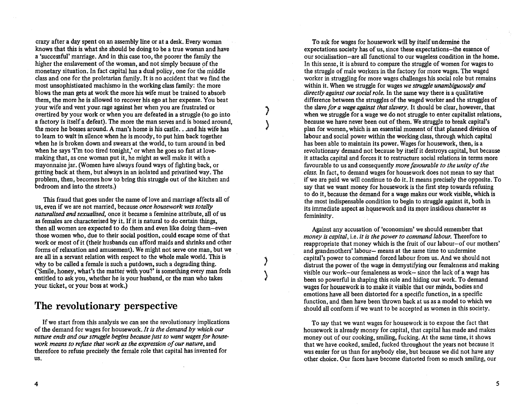crazy after a day spent on an assembly line or at a desk. Every woman knows that this is what she should be doing to be a true woman and have a 'successful' marriage. And in this case too, the poorer the family the higher the enslavement of the woman, and not simply because of the monetary situation. In fact capital has a dual policy, one for the middle class and one for the proletarian family. It is no accident that we find the most unsophistioated machismo in the working class family: the more blows the man gets at work the more his wife must be trained to absorb them, the more he is allowed to recover his ego at her expense. You beat your wife and vent your. rage against her when you are frustrated or overtired by your work or when you are defeated in a struggle (to go into a factory is itself a defeat). The more the man serves and is bossed around, the more he bosses around. A man's home is his castle ... and his wife has to learn to wait in silence when he is moody, to put him back together when he is broken down and swears at the world, to turn around in bed when he says 'I'm too tired tonight,' or when he goes so fast at lovemaking that, as one woman put it, he might as well make it with a mayonnaise jar. (Women have always found ways of fighting back, or getting back at them, but always in an isolated and privatised way. The problem, then, becomes how to bring this struggle out of the kitchen and bedroom and into the streets.)

)

 $\sum_{i=1}^{n}$ 

)

}

This fraud that goes under the name of love and marriage affects all of us, even if we are not married, because *once housework was totally naturalised and sexualised,* once it became a feminine attribute, all of us as females are characterised by it. If it is natural to do certain things, then all women are expected to do them and even like doing them-even those women who, due to their social position, could escape some of that work or most of it (their husbands can afford maids and shrinks and other forms of relaxation and amusement). We might not serve one man, but we are all in a servant relation with respect to the whole male world. This is why to be called a female is such a putdown, such a degrading thing. ('Smile, honey, what's the matter with you?' is something every man feels entitled to ask you, whether he is your husband, or the man who takes your.ticket, or your boss at work.)

#### **The revolutionary perspective**

If we start from this analysis we can see the revolutionary implications of the demand for wages for housework. *It is the demand by which our nature ends and our struggle begins because just to want wages for housework means to refuse that work as the expression of our nature,* and therefore to refuse precisely the female role that capital has invented for us.

To ask for wages for housework will by itself undermine the expectations society has of us, since these expectations-the essence of our socialisation-are all functional to our wageless condition in the home. In this sense, it is absurd to compare the struggle of women for wages to the struggle of male workers in the factory for more wages. The waged worker in struggling for more wages challenges his social role but remains within it. When we struggle for wages *we struggle unambiguously and directly against our social role.* In the same way there is a qualitative difference between the struggles of the waged worker and the struggles of the slave *for a wage against that slavery.* It should be clear, however, that when we struggle for a wage we do not struggle to enter capitalist relations, because we have never been out of them. We struggle to break capital's plan for women, which is an essential moment of that planned division of labour and social power within the working class, through which capital has been able to maintain its power. Wages for housework, then, is a revolutionary demand not because by itself it destroys capital, but because it attacks capital and forces it to restructure social relations in terms more favourable to us and consequently *more favourable to the unity of the class.* In fact, to demand wages for housework does not mean to say that if we are paid we will continue to do it. It means precisely the opposite. To say that we want money for housework is the first step towards refusing to do it, because the demand for a wage makes our work visible, which is the most indispensable condition to begin to struggle against it, both in its immediate aspect as housework and its more insidious character as femininity. .

Against any accusation of 'economism' we should remember that *money is capital,* i.e. *it is the power to command labour.* Therefore to reappropriate that money which is the fruit of our labour-of our mothers' and grandmothers' labour- means at the same time to undermine capital's power to command forced labour from us. And we should not distrust the power of the wage in demystifying our femaleness and making visible our work-our femaleness as work- since the lack of a. wage has been so powerful in shaping this role and hiding our work. To demand wages for housework is to make it visible that our minds, bodies and emotions have all been distorted for a specific function, in a specific function, and then have been thrown back at us as a model to which we should all conform if we want to be accepted as women in this society.

To say that we want wages for housework is to expose the fact that housework is already money for capital, that capital has made and makes money out of our cooking, smiling, fucking. At the same time, it shows that we have cooked, smiled, fucked throughout the years not because it was easier for us than for anybody else, but because we did not have any other choice. Our faces have become distorted from so much smiling, our

5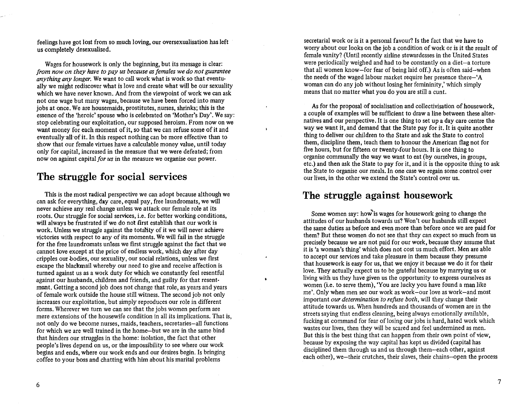feelings have got lost from so much loving, our oversexualisation has left us completely desexualised.

Wages for housework is only the beginning, but its message is clear: *from now on they have to pay us because as females we do not guarantee anything any longer.* We want to call work what is work so that eventu· ally we might rediscover what is love and create what will be our sexuality which we have never known. And from the viewpoint of work we can ask not one wage but many wages, because we have been forced into many jobs at once. We are housemaids, prostitutes, nurses, shrinks; this is the essence of the 'heroic' spouse who is celebrated on 'Mother's Day'. We say: stop celebrating our exploitation, our supposed heroism. From now on we want money for each moment of it, so that we can refuse some of it and eventually all of it. In this respect nothing can be more effective than to show that our female virtues have a calculable money value, until today only for capital, increased in the measure that we were defeated; from now on against capital *for us.* in the measure we organise our power.

#### **The struggle for social services**

This is the most radical perspective we can adopt because although we can ask for everything, day care, equal pay, free laundromats, we will never achieve any real change unless we attack our female role at its roots. Our struggle for social services, i.e. for better working conditions, will always be frustrated if we do not first establish that our work is work. Unless we struggle against the totality of it we will never achieve victories with respect to any of its moments. We will fail in the struggle for the free laundromats unless we first struggle against the fact that we cannot love except at the price of endless work, which day after day cripples our bodies, our sexuality, our social relations, unless we first escape the blackmail whereby our need to give and receive affection is turned against us as a work duty for which we constantly feel resentful against our husbands, children and friends, and guilty for that resentment. Getting a second job does not change that role, as years and years of female work outside the house still witness. The second job not only increases our exploitation, but simply reproduces our role in different forms. Wherever we tum we can see that the jobs women perform are mere extensions of the housewife condition in all its implications. That is, not only do we become nurses, maids, teachers, secretaries-all functions for which we are well trained in the home-but we are in the same bind that hinders our struggles in the home: isolation, the fact that other people's lives depend on us, or the impossibility to see where our work begins and ends, where our work ends and our desires begin. Is bringing coffee to your boss and chatting with him about his marital problems

secretarial work or is it a personal favour? Is the fact that we have to worry about our looks on the job a condition of work or is it the result of female vanity? (Until recently airline stewardesses in the United States were periodically weighed and had to be constantly on a diet-a torture that all women know-for fear of being laid off.) As is often said-when the needs of the waged labour market require her presence there-' A woman can do any job without losing her femininity,' which simply means that no matter what you do you are still a cunt.

As for the proposal of socialisation and collectivisation of housework, a couple of examples will be sufficient to draw a line between these alternatives and our perspective. It is one thing to set up a day care centre the way we want it, and demand that the State pay for it. It is quite another thing to deliver our children to the State and ask the State to control them, discipline them, teach them to honour the American flag not for five hours, but for fifteen or twenty-four hours. It is one thing to organise communally the way we want to eat (by ourselves, in groups, etc.) and then ask the State to pay for it, and it is the opposite thing to ask the State to organise our meals. In one case we regain some control over our lives, in the other we extend the State's control over us.

#### **The struggle against housework**

Some women say: how is wages for housework going to change the attitudes of our husbands towards us? Won't our husbands still expect the same duties as before and even more than before once we are paid for them? But these women do not see that they can expect so much from us precisely because we are not paid for our work, because they assume that it is 'a woman's thing' which does not cost us much effort. Men are able to accept our services and take pleasure in them because they presume that housework is easy for us, that we enjoy it because we do it for their love. They actually expect us to be grateful because by marrying us or living with us they have given us the opportunity to express ourselves as women (i.e. to serve them), 'You are lucky you have found a man like me'. Only when men see our work as work-our love as work-and most important *our determination to refuse both,* will they change their attitude towards us. When hundreds and thousands of women are in the streets saying that endless cleaning, being always emotionally available, fucking at command for fear of losing our jobs is hard, hated work which wastes our lives, then they will be scared and feel undermined as men. But this is the best thing that can happen from their own point of view, because by exposing the way capital has kept us divided (capital has disciplined them through us and us through them-each other, against each other), we-their crutches, their slaves, their chains-open the process